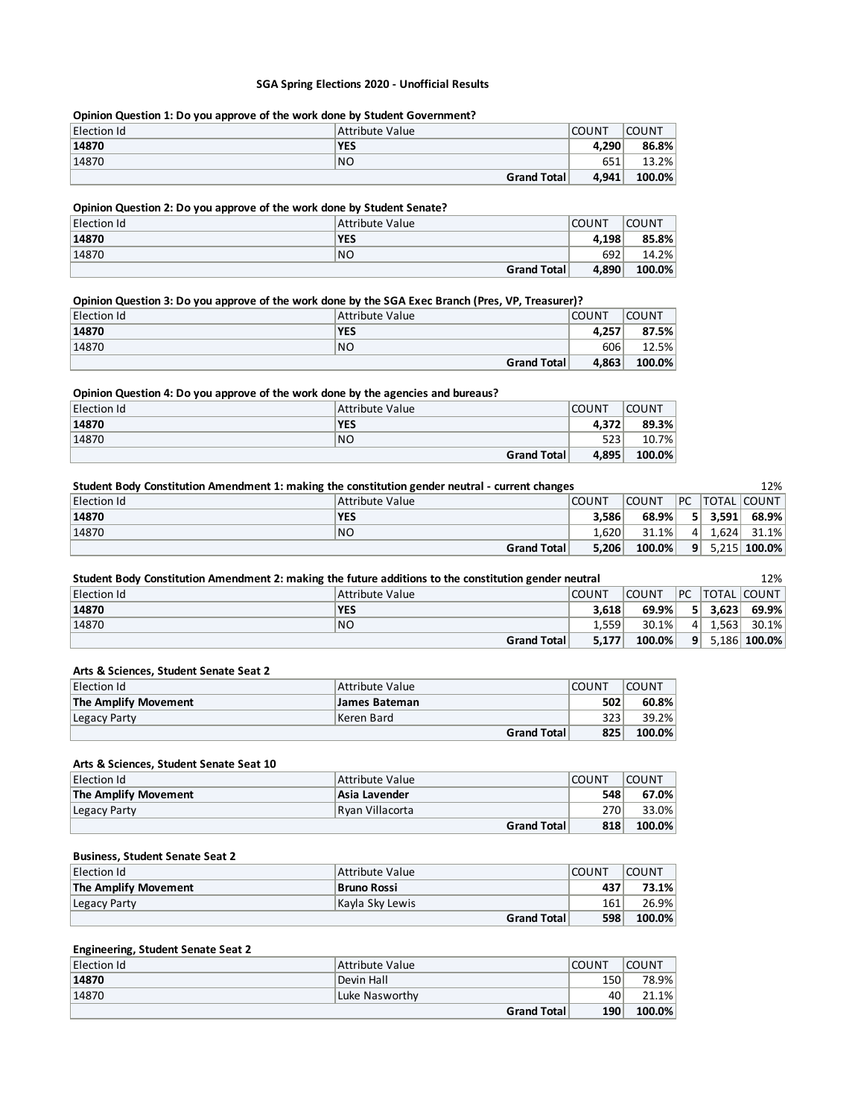#### **SGA Spring Elections 2020 - Unofficial Results**

### **Opinion Question 1: Do you approve of the work done by Student Government?**

| Election Id | Attribute Value | <b>COUNT</b> | <b>COUNT</b> |
|-------------|-----------------|--------------|--------------|
| 14870       | <b>YES</b>      | 4.290        | 86.8%        |
| 14870       | NO              | 651          | 13.2%        |
|             | Grand Total     | 4,941        | 100.0%       |

### **Opinion Question 2: Do you approve of the work done by Student Senate?**

| <b>Election Id</b> | Attribute Value | <b>COUNT</b> | <b>COUNT</b> |
|--------------------|-----------------|--------------|--------------|
| 14870              | <b>YES</b>      | 4.198        | 85.8%        |
| 14870              | NO.             | 692          | 14.2%        |
|                    | Grand Total     | 4,890        | 100.0%       |

### **Opinion Question 3: Do you approve of the work done by the SGA Exec Branch (Pres, VP, Treasurer)?**

| Election Id | Attribute Value | <b>COUNT</b> | <b>COUNT</b> |
|-------------|-----------------|--------------|--------------|
| 14870       | <b>YES</b>      | 4.257        | 87.5%        |
| 14870       | NO              | 606          | 12.5%        |
|             | Grand Total     | 4,863        | 100.0%       |

### **Opinion Question 4: Do you approve of the work done by the agencies and bureaus?**

| Election Id | Attribute Value    | <b>COUNT</b> | <b>COUNT</b> |
|-------------|--------------------|--------------|--------------|
| 14870       | <b>YES</b>         | 4.372        | 89.3%        |
| 14870       | NO                 | 523          | 10.7%        |
|             | <b>Grand Total</b> | 4.895        | 100.0%       |

| Student Body Constitution Amendment 1: making the constitution gender neutral - current changes |                 |              |              | 12%     |         |                  |
|-------------------------------------------------------------------------------------------------|-----------------|--------------|--------------|---------|---------|------------------|
| Election Id                                                                                     | Attribute Value | <b>COUNT</b> | <b>COUNT</b> |         |         | PC TOTAL COUNT   |
| 14870                                                                                           | <b>YES</b>      | 3.586        | 68.9%        |         | 5 3.591 | 68.9%            |
| 14870                                                                                           | N <sub>O</sub>  | 1.620        | $31.1\%$     | $\vert$ |         | $1.624$ 31.1%    |
|                                                                                                 | Grand Total     | 5,206        | $100.0\%$    |         |         | $9$ 5,215 100.0% |

| Student Body Constitution Amendment 2: making the future additions to the constitution gender neutral |                 |              |              |                | 12% |                 |
|-------------------------------------------------------------------------------------------------------|-----------------|--------------|--------------|----------------|-----|-----------------|
| <b>Election Id</b>                                                                                    | Attribute Value | <b>COUNT</b> | <b>COUNT</b> |                |     | PC TOTAL COUNT  |
| 14870                                                                                                 | <b>YES</b>      | 3.618        | 69.9%        |                |     | $5$ 3.623 69.9% |
| 14870                                                                                                 | N <sub>O</sub>  | 1.559        | 30.1%        | 4 <sup>1</sup> |     | $1.563$ 30.1%   |
|                                                                                                       | Grand Total     | 5,177        | $100.0\%$    | 9 <sup>1</sup> |     | $5,186 $ 100.0% |

### **Arts & Sciences, Student Senate Seat 2**

| <b>Election Id</b>   | Attribute Value | COUNT | <b>COUNT</b> |
|----------------------|-----------------|-------|--------------|
| The Amplify Movement | James Bateman   | 502   | 60.8%        |
| Legacy Party         | Keren Bard      | 323   | 39.2%        |
|                      | Grand Total     | 825   | 100.0%       |

### **Arts & Sciences, Student Senate Seat 10**

| Election Id          | Attribute Value    | <b>COUNT</b> | COUNT     |
|----------------------|--------------------|--------------|-----------|
| The Amplify Movement | Asia Lavender      | 548          | 67.0%     |
| Legacy Party         | Ryan Villacorta    | 270          | $33.0\%$  |
|                      | <b>Grand Total</b> | 818          | $100.0\%$ |

#### **Business, Student Senate Seat 2**

| Election Id          | Attribute Value    | <b>COUNT</b> | COUNT  |
|----------------------|--------------------|--------------|--------|
| The Amplify Movement | Bruno Rossi        | 437          | 73.1%  |
| Legacy Party         | Kavla Skv Lewis    | 161          | 26.9%  |
|                      | <b>Grand Total</b> | 598          | 100.0% |

#### **Engineering, Student Senate Seat 2**

| Election Id | Attribute Value    | <b>COUNT</b> | <b>COUNT</b> |
|-------------|--------------------|--------------|--------------|
| 14870       | Devin Hall         | 150          | 78.9%        |
| 14870       | Luke Nasworthv     | 40           | 21.1%        |
|             | <b>Grand Total</b> | 190          | 100.0%       |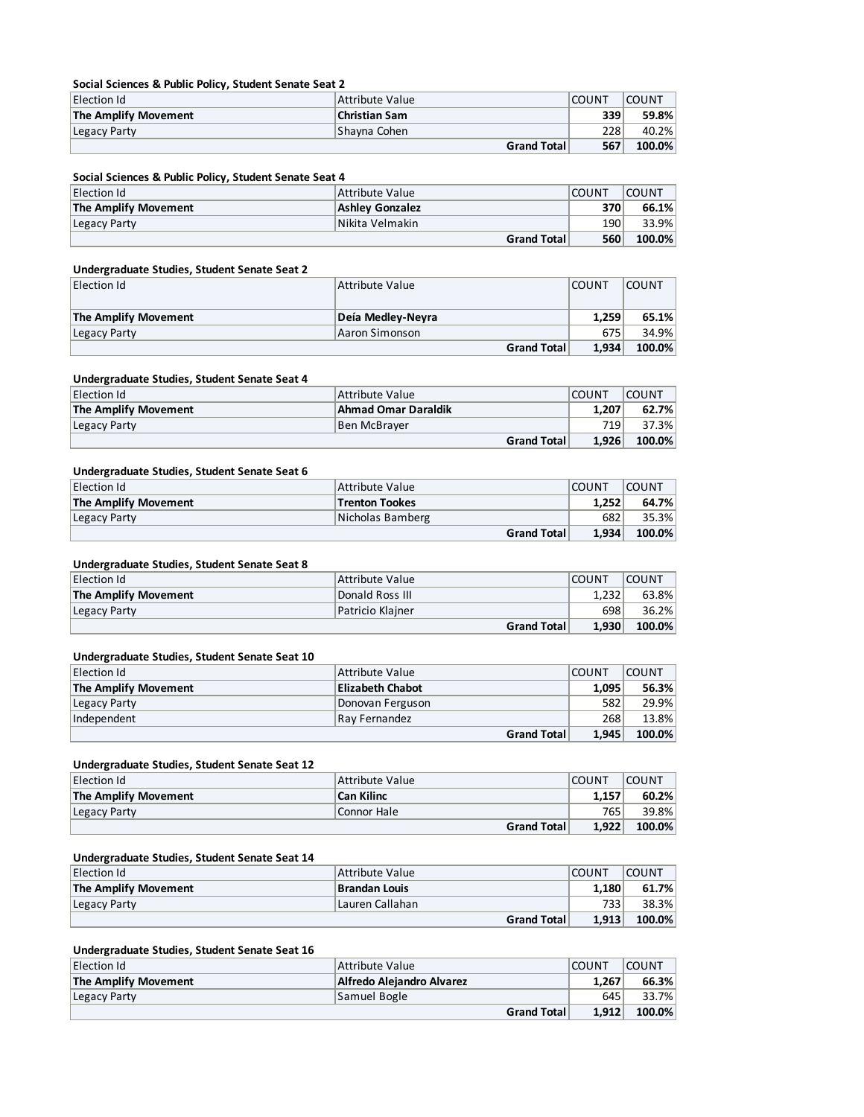#### **Social Sciences & Public Policy, Student Senate Seat 2**

| Election Id          | Attribute Value    | <b>COUNT</b> | <b>COUNT</b> |
|----------------------|--------------------|--------------|--------------|
| The Amplify Movement | Christian Sam      | 339          | 59.8%        |
| Legacy Party         | Shayna Cohen       | 228          | 40.2%        |
|                      | <b>Grand Total</b> | 567          | 100.0%       |

### **Social Sciences & Public Policy, Student Senate Seat 4**

| Election Id          | Attribute Value    | <b>COUNT</b> | <b>COUNT</b> |
|----------------------|--------------------|--------------|--------------|
| The Amplify Movement | Ashley Gonzalez    | 370          | 66.1%        |
| Legacy Party         | Nikita Velmakin    | 190          | 33.9%        |
|                      | <b>Grand Total</b> | 560          | 100.0%       |

### **Undergraduate Studies, Student Senate Seat 2**

| Election Id          | Attribute Value   | <b>COUNT</b> | COUNT  |
|----------------------|-------------------|--------------|--------|
|                      |                   |              |        |
| The Amplify Movement | Deía Medley-Neyra | 1.259        | 65.1%  |
| Legacy Party         | Aaron Simonson    | 675          | 34.9%  |
|                      | Grand Total       | 1.934        | 100.0% |

#### **Undergraduate Studies, Student Senate Seat 4**

| Election Id          | Attribute Value     | <b>COUNT</b> | <b>COUNT</b> |
|----------------------|---------------------|--------------|--------------|
| The Amplify Movement | Ahmad Omar Daraldik | 1.207        | 62.7%        |
| Legacy Party         | Ben McBraver        | 719          | 37.3%        |
|                      | Grand Total         | 1.926        | 100.0%       |

### **Undergraduate Studies, Student Senate Seat 6**

| Election Id                 | Attribute Value       | <b>COUNT</b> | COUNT  |
|-----------------------------|-----------------------|--------------|--------|
| <b>The Amplify Movement</b> | <b>Trenton Tookes</b> | 1.252        | 64.7%  |
| Legacy Party                | Nicholas Bamberg      | 682          | 35.3%  |
|                             | <b>Grand Total</b>    | 1.934        | 100.0% |

## **Undergraduate Studies, Student Senate Seat 8**

| Election Id          | Attribute Value    | <b>COUNT</b> | COUNT  |
|----------------------|--------------------|--------------|--------|
| The Amplify Movement | Donald Ross III    | 1.232        | 63.8%  |
| Legacy Party         | Patricio Klainer   | 698          | 36.2%  |
|                      | <b>Grand Total</b> | 1.930        | 100.0% |

### **Undergraduate Studies, Student Senate Seat 10**

| Election Id          | Attribute Value         | <b>COUNT</b> | <b>COUNT</b> |
|----------------------|-------------------------|--------------|--------------|
| The Amplify Movement | <b>Elizabeth Chabot</b> | 1.095        | 56.3%        |
| Legacy Party         | Donovan Ferguson        | 582          | 29.9%        |
| Independent          | Ray Fernandez           | 268          | 13.8%        |
|                      | Grand Total             | 1.945        | 100.0%       |

### **Undergraduate Studies, Student Senate Seat 12**

| Election Id          | Attribute Value   | <b>COUNT</b> | COUNT  |
|----------------------|-------------------|--------------|--------|
| The Amplify Movement | <b>Can Kilinc</b> | 1.157        | 60.2%  |
| Legacy Party         | Connor Hale       | 765          | 39.8%  |
|                      | Grand Total       | 1.922        | 100.0% |

## **Undergraduate Studies, Student Senate Seat 14**

| Election Id          | Attribute Value    | <b>COUNT</b> | COUNT     |
|----------------------|--------------------|--------------|-----------|
| The Amplify Movement | Brandan Louis      | 1.180        | 61.7%     |
| Legacy Party         | Lauren Callahan    | 733          | 38.3%     |
|                      | <b>Grand Total</b> | 1.913        | $100.0\%$ |

### **Undergraduate Studies, Student Senate Seat 16**

| Election Id          | Attribute Value           | <b>COUNT</b> | <b>COUNT</b> |
|----------------------|---------------------------|--------------|--------------|
| The Amplify Movement | Alfredo Alejandro Alvarez | 1.267        | 66.3%        |
| Legacy Party         | Samuel Bogle              | 645          | 33.7%        |
|                      | <b>Grand Total</b>        | 1.912        | 100.0%       |